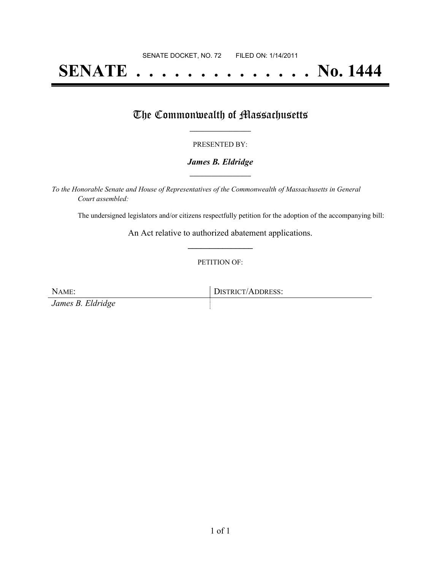# **SENATE . . . . . . . . . . . . . . No. 1444**

## The Commonwealth of Massachusetts

#### PRESENTED BY:

#### *James B. Eldridge* **\_\_\_\_\_\_\_\_\_\_\_\_\_\_\_\_\_**

*To the Honorable Senate and House of Representatives of the Commonwealth of Massachusetts in General Court assembled:*

The undersigned legislators and/or citizens respectfully petition for the adoption of the accompanying bill:

An Act relative to authorized abatement applications. **\_\_\_\_\_\_\_\_\_\_\_\_\_\_\_**

PETITION OF:

*James B. Eldridge*

NAME: DISTRICT/ADDRESS: